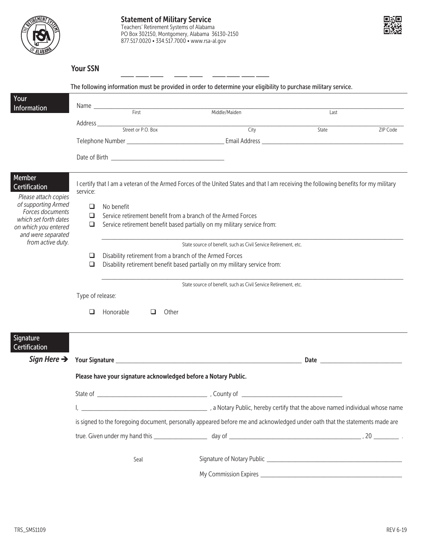



| 'OUr | Ν |
|------|---|
|      |   |

|                                                 |                                                                                      |                                                                            | The following information must be provided in order to determine your eligibility to purchase military service.                       |                   |  |
|-------------------------------------------------|--------------------------------------------------------------------------------------|----------------------------------------------------------------------------|---------------------------------------------------------------------------------------------------------------------------------------|-------------------|--|
| Your<br>Information                             |                                                                                      |                                                                            |                                                                                                                                       |                   |  |
|                                                 |                                                                                      |                                                                            |                                                                                                                                       | Last              |  |
|                                                 |                                                                                      |                                                                            |                                                                                                                                       | State<br>ZIP Code |  |
|                                                 |                                                                                      |                                                                            |                                                                                                                                       |                   |  |
|                                                 |                                                                                      |                                                                            |                                                                                                                                       |                   |  |
| Member<br>Certification<br>Please attach copies | service:                                                                             |                                                                            | I certify that I am a veteran of the Armed Forces of the United States and that I am receiving the following benefits for my military |                   |  |
| of supporting Armed<br>Forces documents         | ❏                                                                                    | No benefit<br>Service retirement benefit from a branch of the Armed Forces |                                                                                                                                       |                   |  |
| which set forth dates                           |                                                                                      |                                                                            |                                                                                                                                       |                   |  |
| on which you entered<br>and were separated      | $\Box$                                                                               |                                                                            | Service retirement benefit based partially on my military service from:                                                               |                   |  |
| from active duty.                               |                                                                                      |                                                                            | State source of benefit, such as Civil Service Retirement, etc.                                                                       |                   |  |
|                                                 | Disability retirement from a branch of the Armed Forces<br>❏                         |                                                                            |                                                                                                                                       |                   |  |
|                                                 | Disability retirement benefit based partially on my military service from:<br>$\Box$ |                                                                            |                                                                                                                                       |                   |  |
|                                                 | State source of benefit, such as Civil Service Retirement, etc.                      |                                                                            |                                                                                                                                       |                   |  |
|                                                 | Type of release:                                                                     |                                                                            |                                                                                                                                       |                   |  |
|                                                 | □                                                                                    | Honorable<br>Other<br>❏                                                    |                                                                                                                                       |                   |  |
| Signature<br>Certification                      |                                                                                      |                                                                            |                                                                                                                                       |                   |  |
| Sign Here $\rightarrow$                         |                                                                                      |                                                                            |                                                                                                                                       |                   |  |
|                                                 | Please have your signature acknowledged before a Notary Public.                      |                                                                            |                                                                                                                                       |                   |  |
|                                                 |                                                                                      |                                                                            |                                                                                                                                       |                   |  |
|                                                 |                                                                                      |                                                                            | a Notary Public, hereby certify that the above named individual whose name (and the above named individual whose name                 |                   |  |
|                                                 |                                                                                      |                                                                            | is signed to the foregoing document, personally appeared before me and acknowledged under oath that the statements made are           |                   |  |
|                                                 |                                                                                      |                                                                            |                                                                                                                                       |                   |  |
|                                                 |                                                                                      | Seal                                                                       |                                                                                                                                       |                   |  |
|                                                 |                                                                                      |                                                                            |                                                                                                                                       |                   |  |